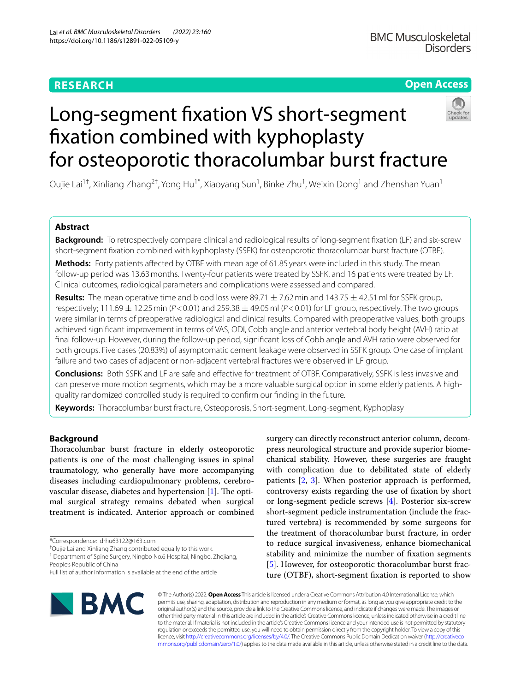# **RESEARCH**

## **Open Access**



# Long-segment fxation VS short-segment fxation combined with kyphoplasty for osteoporotic thoracolumbar burst fracture

Oujie Lai $^{1\dagger}$ , Xinliang Zhang $^{2\dagger}$ , Yong Hu $^{1^\ast}$ , Xiaoyang Sun $^1$ , Binke Zhu $^1$ , Weixin Dong $^1$  and Zhenshan Yuan $^1$ 

## **Abstract**

**Background:** To retrospectively compare clinical and radiological results of long-segment fxation (LF) and six-screw short-segment fxation combined with kyphoplasty (SSFK) for osteoporotic thoracolumbar burst fracture (OTBF).

**Methods:** Forty patients affected by OTBF with mean age of 61.85 years were included in this study. The mean follow-up period was 13.63months. Twenty-four patients were treated by SSFK, and 16 patients were treated by LF. Clinical outcomes, radiological parameters and complications were assessed and compared.

**Results:** The mean operative time and blood loss were 89.71  $\pm$  7.62 min and 143.75  $\pm$  42.51 ml for SSFK group, respectively; 111.69  $\pm$  12.25 min ( $P < 0.01$ ) and 259.38  $\pm$  49.05 ml ( $P < 0.01$ ) for LF group, respectively. The two groups were similar in terms of preoperative radiological and clinical results. Compared with preoperative values, both groups achieved signifcant improvement in terms of VAS, ODI, Cobb angle and anterior vertebral body height (AVH) ratio at fnal follow-up. However, during the follow-up period, signifcant loss of Cobb angle and AVH ratio were observed for both groups. Five cases (20.83%) of asymptomatic cement leakage were observed in SSFK group. One case of implant failure and two cases of adjacent or non-adjacent vertebral fractures were observed in LF group.

**Conclusions:** Both SSFK and LF are safe and efective for treatment of OTBF. Comparatively, SSFK is less invasive and can preserve more motion segments, which may be a more valuable surgical option in some elderly patients. A highquality randomized controlled study is required to confrm our fnding in the future.

**Keywords:** Thoracolumbar burst fracture, Osteoporosis, Short-segment, Long-segment, Kyphoplasy

## **Background**

Thoracolumbar burst fracture in elderly osteoporotic patients is one of the most challenging issues in spinal traumatology, who generally have more accompanying diseases including cardiopulmonary problems, cerebrovascular disease, diabetes and hypertension  $[1]$  $[1]$ . The optimal surgical strategy remains debated when surgical treatment is indicated. Anterior approach or combined

\*Correspondence: drhu63122@163.com

† Oujie Lai and Xinliang Zhang contributed equally to this work.

<sup>1</sup> Department of Spine Surgery, Ningbo No.6 Hospital, Ningbo, Zhejiang, People's Republic of China

surgery can directly reconstruct anterior column, decompress neurological structure and provide superior biomechanical stability. However, these surgeries are fraught with complication due to debilitated state of elderly patients [\[2](#page-5-1), [3](#page-5-2)]. When posterior approach is performed, controversy exists regarding the use of fxation by short or long-segment pedicle screws [[4\]](#page-5-3). Posterior six-screw short-segment pedicle instrumentation (include the fractured vertebra) is recommended by some surgeons for the treatment of thoracolumbar burst fracture, in order to reduce surgical invasiveness, enhance biomechanical stability and minimize the number of fxation segments [[5\]](#page-5-4). However, for osteoporotic thoracolumbar burst fracture (OTBF), short-segment fxation is reported to show



© The Author(s) 2022. **Open Access** This article is licensed under a Creative Commons Attribution 4.0 International License, which permits use, sharing, adaptation, distribution and reproduction in any medium or format, as long as you give appropriate credit to the original author(s) and the source, provide a link to the Creative Commons licence, and indicate if changes were made. The images or other third party material in this article are included in the article's Creative Commons licence, unless indicated otherwise in a credit line to the material. If material is not included in the article's Creative Commons licence and your intended use is not permitted by statutory regulation or exceeds the permitted use, you will need to obtain permission directly from the copyright holder. To view a copy of this licence, visit [http://creativecommons.org/licenses/by/4.0/.](http://creativecommons.org/licenses/by/4.0/) The Creative Commons Public Domain Dedication waiver ([http://creativeco](http://creativecommons.org/publicdomain/zero/1.0/) [mmons.org/publicdomain/zero/1.0/](http://creativecommons.org/publicdomain/zero/1.0/)) applies to the data made available in this article, unless otherwise stated in a credit line to the data.

Full list of author information is available at the end of the article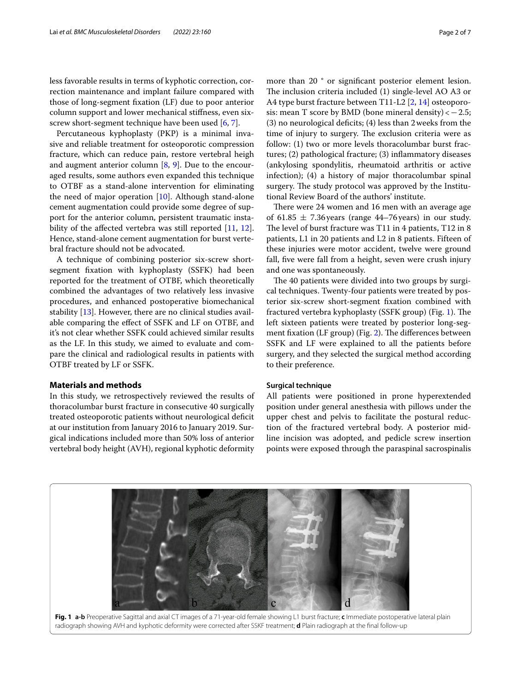less favorable results in terms of kyphotic correction, correction maintenance and implant failure compared with those of long-segment fxation (LF) due to poor anterior column support and lower mechanical stifness, even six-screw short-segment technique have been used [[6,](#page-5-5) [7](#page-5-6)].

Percutaneous kyphoplasty (PKP) is a minimal invasive and reliable treatment for osteoporotic compression fracture, which can reduce pain, restore vertebral heigh and augment anterior column [\[8](#page-5-7), [9](#page-6-0)]. Due to the encouraged results, some authors even expanded this technique to OTBF as a stand-alone intervention for eliminating the need of major operation [[10\]](#page-6-1). Although stand-alone cement augmentation could provide some degree of support for the anterior column, persistent traumatic insta-bility of the affected vertebra was still reported [[11,](#page-6-2) [12](#page-6-3)]. Hence, stand-alone cement augmentation for burst vertebral fracture should not be advocated.

A technique of combining posterior six-screw shortsegment fxation with kyphoplasty (SSFK) had been reported for the treatment of OTBF, which theoretically combined the advantages of two relatively less invasive procedures, and enhanced postoperative biomechanical stability [[13](#page-6-4)]. However, there are no clinical studies available comparing the efect of SSFK and LF on OTBF, and it's not clear whether SSFK could achieved similar results as the LF. In this study, we aimed to evaluate and compare the clinical and radiological results in patients with OTBF treated by LF or SSFK.

## **Materials and methods**

In this study, we retrospectively reviewed the results of thoracolumbar burst fracture in consecutive 40 surgically treated osteoporotic patients without neurological defcit at our institution from January 2016 to January 2019. Surgical indications included more than 50% loss of anterior vertebral body height (AVH), regional kyphotic deformity more than 20 ° or signifcant posterior element lesion. The inclusion criteria included (1) single-level AO A3 or A4 type burst fracture between T11-L2 [\[2](#page-5-1), [14](#page-6-5)] osteoporosis: mean T score by BMD (bone mineral density) < $-2.5$ ; (3) no neurological defcits; (4) less than 2weeks from the time of injury to surgery. The exclusion criteria were as follow: (1) two or more levels thoracolumbar burst fractures; (2) pathological fracture; (3) infammatory diseases (ankylosing spondylitis, rheumatoid arthritis or active infection); (4) a history of major thoracolumbar spinal surgery. The study protocol was approved by the Institutional Review Board of the authors' institute.

There were 24 women and 16 men with an average age of 61.85  $\pm$  7.36 years (range 44–76 years) in our study. The level of burst fracture was T11 in 4 patients, T12 in  $8$ patients, L1 in 20 patients and L2 in 8 patients. Fifteen of these injuries were motor accident, twelve were ground fall, fve were fall from a height, seven were crush injury and one was spontaneously.

The 40 patients were divided into two groups by surgical techniques. Twenty-four patients were treated by posterior six-screw short-segment fxation combined with fractured vertebra kyphoplasty (SSFK group) (Fig. [1](#page-1-0)). The left sixteen patients were treated by posterior long-seg-ment fixation (LF group) (Fig. [2](#page-2-0)). The differences between SSFK and LF were explained to all the patients before surgery, and they selected the surgical method according to their preference.

## **Surgical technique**

All patients were positioned in prone hyperextended position under general anesthesia with pillows under the upper chest and pelvis to facilitate the postural reduction of the fractured vertebral body. A posterior midline incision was adopted, and pedicle screw insertion points were exposed through the paraspinal sacrospinalis

<span id="page-1-0"></span>**Fig. 1 a-b** Preoperative Sagittal and axial CT images of a 71-year-old female showing L1 burst fracture; **c** Immediate postoperative lateral plain radiograph showing AVH and kyphotic deformity were corrected after SSKF treatment; **d** Plain radiograph at the fnal follow-up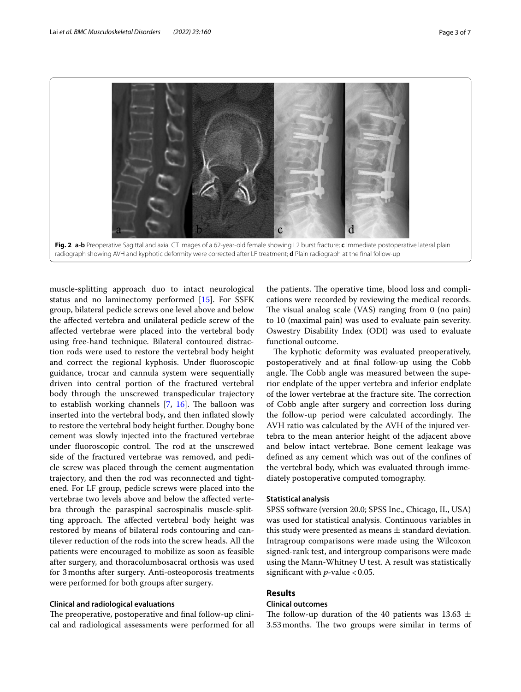

<span id="page-2-0"></span>muscle-splitting approach duo to intact neurological status and no laminectomy performed [\[15](#page-6-6)]. For SSFK group, bilateral pedicle screws one level above and below the afected vertebra and unilateral pedicle screw of the afected vertebrae were placed into the vertebral body using free-hand technique. Bilateral contoured distraction rods were used to restore the vertebral body height and correct the regional kyphosis. Under fuoroscopic guidance, trocar and cannula system were sequentially driven into central portion of the fractured vertebral body through the unscrewed transpedicular trajectory to establish working channels  $[7, 16]$  $[7, 16]$  $[7, 16]$  $[7, 16]$  $[7, 16]$ . The balloon was inserted into the vertebral body, and then infated slowly to restore the vertebral body height further. Doughy bone cement was slowly injected into the fractured vertebrae under fluoroscopic control. The rod at the unscrewed side of the fractured vertebrae was removed, and pedicle screw was placed through the cement augmentation trajectory, and then the rod was reconnected and tightened. For LF group, pedicle screws were placed into the vertebrae two levels above and below the afected vertebra through the paraspinal sacrospinalis muscle-splitting approach. The affected vertebral body height was restored by means of bilateral rods contouring and cantilever reduction of the rods into the screw heads. All the patients were encouraged to mobilize as soon as feasible after surgery, and thoracolumbosacral orthosis was used for 3months after surgery. Anti-osteoporosis treatments were performed for both groups after surgery.

## **Clinical and radiological evaluations**

The preoperative, postoperative and final follow-up clinical and radiological assessments were performed for all

the patients. The operative time, blood loss and complications were recorded by reviewing the medical records. The visual analog scale  $(VAS)$  ranging from 0 (no pain) to 10 (maximal pain) was used to evaluate pain severity. Oswestry Disability Index (ODI) was used to evaluate functional outcome.

The kyphotic deformity was evaluated preoperatively, postoperatively and at fnal follow-up using the Cobb angle. The Cobb angle was measured between the superior endplate of the upper vertebra and inferior endplate of the lower vertebrae at the fracture site. The correction of Cobb angle after surgery and correction loss during the follow-up period were calculated accordingly. The AVH ratio was calculated by the AVH of the injured vertebra to the mean anterior height of the adjacent above and below intact vertebrae. Bone cement leakage was defned as any cement which was out of the confnes of the vertebral body, which was evaluated through immediately postoperative computed tomography.

#### **Statistical analysis**

SPSS software (version 20.0; SPSS Inc., Chicago, IL, USA) was used for statistical analysis. Continuous variables in this study were presented as means  $\pm$  standard deviation. Intragroup comparisons were made using the Wilcoxon signed-rank test, and intergroup comparisons were made using the Mann-Whitney U test. A result was statistically significant with  $p$ -value <0.05.

## **Results**

## **Clinical outcomes**

The follow-up duration of the 40 patients was 13.63  $\pm$ 3.53 months. The two groups were similar in terms of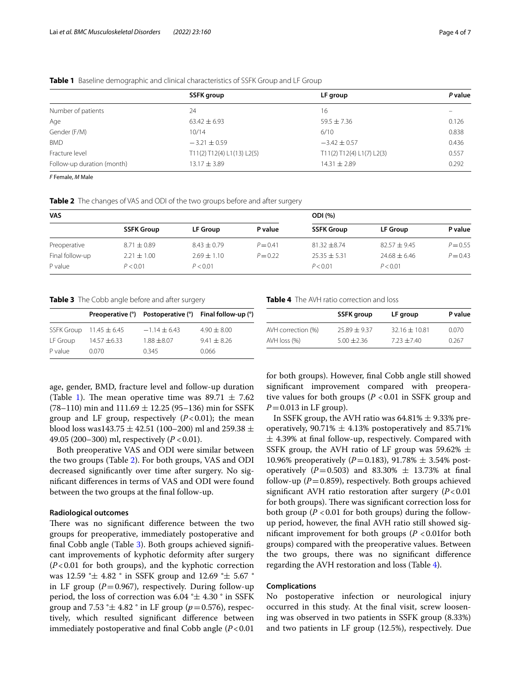|                            | SSFK group                 | LF group                  | P value |
|----------------------------|----------------------------|---------------------------|---------|
| Number of patients         | 24                         | 16                        |         |
| Age                        | $63.42 \pm 6.93$           | $59.5 \pm 7.36$           | 0.126   |
| Gender (F/M)               | 10/14                      | 6/10                      | 0.838   |
| <b>BMD</b>                 | $-3.21 \pm 0.59$           | $-3.42 \pm 0.57$          | 0.436   |
| Fracture level             | T11(2) T12(4) L1(13) L2(5) | T11(2) T12(4) L1(7) L2(3) | 0.557   |
| Follow-up duration (month) | $13.17 \pm 3.89$           | $14.31 \pm 2.89$          | 0.292   |

### <span id="page-3-0"></span>**Table 1** Baseline demographic and clinical characteristics of SSFK Group and LF Group

*F* Female, *M* Male

<span id="page-3-1"></span>

|  | Table 2 The changes of VAS and ODI of the two groups before and after surgery |  |  |  |
|--|-------------------------------------------------------------------------------|--|--|--|
|--|-------------------------------------------------------------------------------|--|--|--|

| <b>VAS</b>      |                   |                 | <b>ODI</b> (%) |                   |                  |            |
|-----------------|-------------------|-----------------|----------------|-------------------|------------------|------------|
|                 | <b>SSFK Group</b> | <b>LF Group</b> | P value        | <b>SSFK Group</b> | <b>LF Group</b>  | P value    |
| Preoperative    | $8.71 \pm 0.89$   | $8.43 \pm 0.79$ | $P = 0.41$     | $81.32 + 8.74$    | $82.57 \pm 9.45$ | $P = 0.55$ |
| Final follow-up | $2.21 \pm 1.00$   | $2.69 \pm 1.10$ | $P = 0.22$     | $25.35 + 5.31$    | $24.68 \pm 6.46$ | $P = 0.43$ |
| P value         | P < 0.01          | P < 0.01        |                | P < 0.01          | P < 0.01         |            |

<span id="page-3-2"></span>**Table 3** The Cobb angle before and after surgery

|          |                             |                | Preoperative (°) Postoperative (°) Final follow-up (°) |
|----------|-----------------------------|----------------|--------------------------------------------------------|
|          | SSFK Group $11.45 \pm 6.45$ | $-1.14 + 6.43$ | $4.90 \pm 8.00$                                        |
| LF Group | $14.57 \pm 6.33$            | $1.88 + 8.07$  | $9.41 + 8.26$                                          |
| P value  | 0.070                       | 0.345          | 0.066                                                  |

age, gender, BMD, fracture level and follow-up duration (Table [1\)](#page-3-0). The mean operative time was  $89.71 \pm 7.62$  $(78–110)$  min and  $111.69 \pm 12.25$  (95–136) min for SSFK group and LF group, respectively  $(P<0.01)$ ; the mean blood loss was143.75  $\pm$  42.51 (100–200) ml and 259.38  $\pm$ 49.05 (200–300) ml, respectively (*P* <0.01).

Both preoperative VAS and ODI were similar between the two groups (Table [2](#page-3-1)). For both groups, VAS and ODI decreased signifcantly over time after surgery. No signifcant diferences in terms of VAS and ODI were found between the two groups at the fnal follow-up.

#### **Radiological outcomes**

There was no significant difference between the two groups for preoperative, immediately postoperative and fnal Cobb angle (Table [3\)](#page-3-2). Both groups achieved signifcant improvements of kyphotic deformity after surgery (*P*<0.01 for both groups), and the kyphotic correction was 12.59 °± 4.82 ° in SSFK group and 12.69 °± 5.67 ° in LF group (*P*=0.967), respectively. During follow-up period, the loss of correction was  $6.04 \text{ }^{\circ} \pm 4.30 \text{ }^{\circ}$  in SSFK group and 7.53 ° $\pm$  4.82 ° in LF group ( $p=0.576$ ), respectively, which resulted signifcant diference between immediately postoperative and final Cobb angle  $(P<0.01)$  <span id="page-3-3"></span>**Table 4** The AVH ratio correction and loss

|                    | <b>SSFK</b> group | LF group          | P value |
|--------------------|-------------------|-------------------|---------|
| AVH correction (%) | $25.89 + 9.37$    | $32.16 \pm 10.81$ | 0.070   |
| $AVH$ loss $(\%)$  | $5.00 + 2.36$     | $723 + 740$       | 0.267   |

for both groups). However, fnal Cobb angle still showed signifcant improvement compared with preoperative values for both groups  $(P < 0.01$  in SSFK group and *P*=0.013 in LF group).

In SSFK group, the AVH ratio was  $64.81\% \pm 9.33\%$  preoperatively, 90.71%  $\pm$  4.13% postoperatively and 85.71%  $±$  4.39% at final follow-up, respectively. Compared with SSFK group, the AVH ratio of LF group was 59.62%  $\pm$ 10.96% preoperatively  $(P=0.183)$ , 91.78%  $\pm$  3.54% postoperatively ( $P = 0.503$ ) and 83.30%  $\pm$  13.73% at final follow-up ( $P = 0.859$ ), respectively. Both groups achieved signifcant AVH ratio restoration after surgery (*P*<0.01 for both groups). There was significant correction loss for both group ( $P < 0.01$  for both groups) during the followup period, however, the fnal AVH ratio still showed significant improvement for both groups  $(P < 0.01$  for both groups) compared with the preoperative values. Between the two groups, there was no signifcant diference regarding the AVH restoration and loss (Table  $4$ ).

## **Complications**

No postoperative infection or neurological injury occurred in this study. At the fnal visit, screw loosening was observed in two patients in SSFK group (8.33%) and two patients in LF group (12.5%), respectively. Due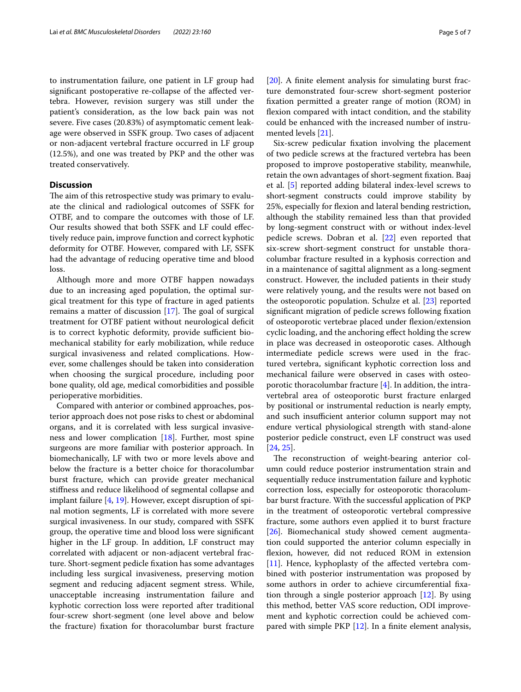to instrumentation failure, one patient in LF group had signifcant postoperative re-collapse of the afected vertebra. However, revision surgery was still under the patient's consideration, as the low back pain was not severe. Five cases (20.83%) of asymptomatic cement leakage were observed in SSFK group. Two cases of adjacent or non-adjacent vertebral fracture occurred in LF group (12.5%), and one was treated by PKP and the other was treated conservatively.

## **Discussion**

The aim of this retrospective study was primary to evaluate the clinical and radiological outcomes of SSFK for OTBF, and to compare the outcomes with those of LF. Our results showed that both SSFK and LF could efectively reduce pain, improve function and correct kyphotic deformity for OTBF. However, compared with LF, SSFK had the advantage of reducing operative time and blood loss.

Although more and more OTBF happen nowadays due to an increasing aged population, the optimal surgical treatment for this type of fracture in aged patients remains a matter of discussion  $[17]$  $[17]$  $[17]$ . The goal of surgical treatment for OTBF patient without neurological defcit is to correct kyphotic deformity, provide sufficient biomechanical stability for early mobilization, while reduce surgical invasiveness and related complications. However, some challenges should be taken into consideration when choosing the surgical procedure, including poor bone quality, old age, medical comorbidities and possible perioperative morbidities.

Compared with anterior or combined approaches, posterior approach does not pose risks to chest or abdominal organs, and it is correlated with less surgical invasiveness and lower complication [\[18\]](#page-6-9). Further, most spine surgeons are more familiar with posterior approach. In biomechanically, LF with two or more levels above and below the fracture is a better choice for thoracolumbar burst fracture, which can provide greater mechanical stifness and reduce likelihood of segmental collapse and implant failure [[4,](#page-5-3) [19](#page-6-10)]. However, except disruption of spinal motion segments, LF is correlated with more severe surgical invasiveness. In our study, compared with SSFK group, the operative time and blood loss were signifcant higher in the LF group. In addition, LF construct may correlated with adjacent or non-adjacent vertebral fracture. Short-segment pedicle fxation has some advantages including less surgical invasiveness, preserving motion segment and reducing adjacent segment stress. While, unacceptable increasing instrumentation failure and kyphotic correction loss were reported after traditional four-screw short-segment (one level above and below the fracture) fxation for thoracolumbar burst fracture [[20\]](#page-6-11). A finite element analysis for simulating burst fracture demonstrated four-screw short-segment posterior fxation permitted a greater range of motion (ROM) in fexion compared with intact condition, and the stability could be enhanced with the increased number of instrumented levels [\[21](#page-6-12)].

Six-screw pedicular fxation involving the placement of two pedicle screws at the fractured vertebra has been proposed to improve postoperative stability, meanwhile, retain the own advantages of short-segment fxation. Baaj et al. [\[5\]](#page-5-4) reported adding bilateral index-level screws to short-segment constructs could improve stability by 25%, especially for fexion and lateral bending restriction, although the stability remained less than that provided by long-segment construct with or without index-level pedicle screws. Dobran et al. [[22\]](#page-6-13) even reported that six-screw short-segment construct for unstable thoracolumbar fracture resulted in a kyphosis correction and in a maintenance of sagittal alignment as a long-segment construct. However, the included patients in their study were relatively young, and the results were not based on the osteoporotic population. Schulze et al. [[23\]](#page-6-14) reported signifcant migration of pedicle screws following fxation of osteoporotic vertebrae placed under fexion/extension cyclic loading, and the anchoring efect holding the screw in place was decreased in osteoporotic cases. Although intermediate pedicle screws were used in the fractured vertebra, signifcant kyphotic correction loss and mechanical failure were observed in cases with osteoporotic thoracolumbar fracture [[4\]](#page-5-3). In addition, the intravertebral area of osteoporotic burst fracture enlarged by positional or instrumental reduction is nearly empty, and such insufficient anterior column support may not endure vertical physiological strength with stand-alone posterior pedicle construct, even LF construct was used [[24,](#page-6-15) [25](#page-6-16)].

The reconstruction of weight-bearing anterior column could reduce posterior instrumentation strain and sequentially reduce instrumentation failure and kyphotic correction loss, especially for osteoporotic thoracolumbar burst fracture. With the successful application of PKP in the treatment of osteoporotic vertebral compressive fracture, some authors even applied it to burst fracture [[26\]](#page-6-17). Biomechanical study showed cement augmentation could supported the anterior column especially in fexion, however, did not reduced ROM in extension [[11\]](#page-6-2). Hence, kyphoplasty of the affected vertebra combined with posterior instrumentation was proposed by some authors in order to achieve circumferential fxation through a single posterior approach [\[12](#page-6-3)]. By using this method, better VAS score reduction, ODI improvement and kyphotic correction could be achieved com-pared with simple PKP [[12](#page-6-3)]. In a finite element analysis,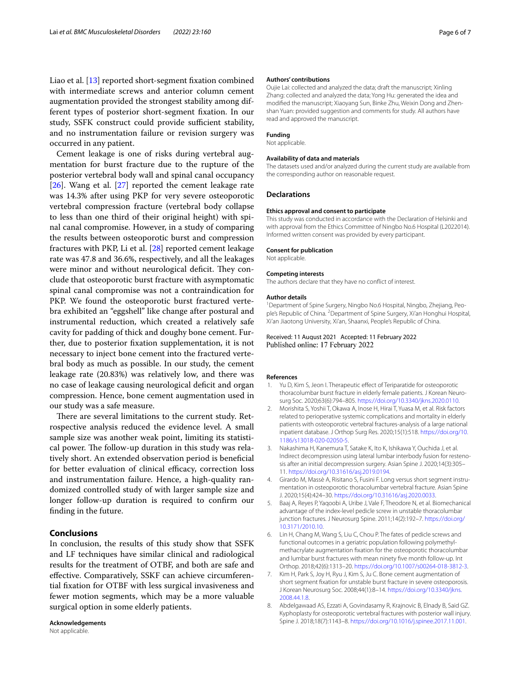Liao et al. [[13](#page-6-4)] reported short-segment fxation combined with intermediate screws and anterior column cement augmentation provided the strongest stability among different types of posterior short-segment fxation. In our study, SSFK construct could provide sufficient stability, and no instrumentation failure or revision surgery was occurred in any patient.

Cement leakage is one of risks during vertebral augmentation for burst fracture due to the rupture of the posterior vertebral body wall and spinal canal occupancy [[26\]](#page-6-17). Wang et al. [\[27](#page-6-18)] reported the cement leakage rate was 14.3% after using PKP for very severe osteoporotic vertebral compression fracture (vertebral body collapse to less than one third of their original height) with spinal canal compromise. However, in a study of comparing the results between osteoporotic burst and compression fractures with PKP, Li et al. [[28\]](#page-6-19) reported cement leakage rate was 47.8 and 36.6%, respectively, and all the leakages were minor and without neurological deficit. They conclude that osteoporotic burst fracture with asymptomatic spinal canal compromise was not a contraindication for PKP. We found the osteoporotic burst fractured vertebra exhibited an "eggshell" like change after postural and instrumental reduction, which created a relatively safe cavity for padding of thick and doughy bone cement. Further, due to posterior fxation supplementation, it is not necessary to inject bone cement into the fractured vertebral body as much as possible. In our study, the cement leakage rate (20.83%) was relatively low, and there was no case of leakage causing neurological deficit and organ compression. Hence, bone cement augmentation used in our study was a safe measure.

There are several limitations to the current study. Retrospective analysis reduced the evidence level. A small sample size was another weak point, limiting its statistical power. The follow-up duration in this study was relatively short. An extended observation period is benefcial for better evaluation of clinical efficacy, correction loss and instrumentation failure. Hence, a high-quality randomized controlled study of with larger sample size and longer follow-up duration is required to confrm our fnding in the future.

## **Conclusions**

In conclusion, the results of this study show that SSFK and LF techniques have similar clinical and radiological results for the treatment of OTBF, and both are safe and efective. Comparatively, SSKF can achieve circumferential fxation for OTBF with less surgical invasiveness and fewer motion segments, which may be a more valuable surgical option in some elderly patients.

**Acknowledgements** Not applicable.

#### **Authors' contributions**

Oujie Lai: collected and analyzed the data; draft the manuscript; Xinling Zhang: collected and analyzed the data; Yong Hu: generated the idea and modifed the manuscript; Xiaoyang Sun, Binke Zhu, Weixin Dong and Zhenshan Yuan: provided suggestion and comments for study. All authors have read and approved the manuscript.

## **Funding**

Not applicable.

#### **Availability of data and materials**

The datasets used and/or analyzed during the current study are available from the corresponding author on reasonable request.

#### **Declarations**

#### **Ethics approval and consent to participate**

This study was conducted in accordance with the Declaration of Helsinki and with approval from the Ethics Committee of Ningbo No.6 Hospital (L2022014). Informed written consent was provided by every participant.

#### **Consent for publication**

Not applicable.

#### **Competing interests**

The authors declare that they have no confict of interest.

#### **Author details**

<sup>1</sup> Department of Spine Surgery, Ningbo No.6 Hospital, Ningbo, Zhejiang, People's Republic of China. <sup>2</sup> Department of Spine Surgery, Xi'an Honghui Hospital, Xi'an Jiaotong University, Xi'an, Shaanxi, People's Republic of China.

Received: 11 August 2021 Accepted: 11 February 2022 Published online: 17 February 2022

#### **References**

- <span id="page-5-0"></span>Yu D, Kim S, Jeon I. Therapeutic effect of Teriparatide for osteoporotic thoracolumbar burst fracture in elderly female patients. J Korean Neurosurg Soc. 2020;63(6):794–805. <https://doi.org/10.3340/jkns.2020.0110>.
- <span id="page-5-1"></span>2. Morishita S, Yoshii T, Okawa A, Inose H, Hirai T, Yuasa M, et al. Risk factors related to perioperative systemic complications and mortality in elderly patients with osteoporotic vertebral fractures-analysis of a large national inpatient database. J Orthop Surg Res. 2020;15(1):518. [https://doi.org/10.](https://doi.org/10.1186/s13018-020-02050-5) [1186/s13018-020-02050-5.](https://doi.org/10.1186/s13018-020-02050-5)
- <span id="page-5-2"></span>3. Nakashima H, Kanemura T, Satake K, Ito K, Ishikawa Y, Ouchida J, et al. Indirect decompression using lateral lumbar interbody fusion for restenosis after an initial decompression surgery. Asian Spine J. 2020;14(3):305– 11. <https://doi.org/10.31616/asj.2019.0194>.
- <span id="page-5-3"></span>4. Girardo M, Massè A, Risitano S, Fusini F. Long versus short segment instrumentation in osteoporotic thoracolumbar vertebral fracture. Asian Spine J. 2020;15(4):424–30.<https://doi.org/10.31616/asj.2020.0033>.
- <span id="page-5-4"></span>5. Baaj A, Reyes P, Yaqoobi A, Uribe J, Vale F, Theodore N, et al. Biomechanical advantage of the index-level pedicle screw in unstable thoracolumbar junction fractures. J Neurosurg Spine. 2011;14(2):192–7. [https://doi.org/](https://doi.org/10.3171/2010.10) [10.3171/2010.10.](https://doi.org/10.3171/2010.10)
- <span id="page-5-5"></span>6. Lin H, Chang M, Wang S, Liu C, Chou P. The fates of pedicle screws and functional outcomes in a geriatric population following polymethylmethacrylate augmentation fxation for the osteoporotic thoracolumbar and lumbar burst fractures with mean ninety fve month follow-up. Int Orthop. 2018;42(6):1313–20.<https://doi.org/10.1007/s00264-018-3812-3>.
- <span id="page-5-6"></span>7. Kim H, Park S, Joy H, Ryu J, Kim S, Ju C. Bone cement augmentation of short segment fxation for unstable burst fracture in severe osteoporosis. J Korean Neurosurg Soc. 2008;44(1):8–14. [https://doi.org/10.3340/jkns.](https://doi.org/10.3340/jkns.2008.44.1.8) [2008.44.1.8.](https://doi.org/10.3340/jkns.2008.44.1.8)
- <span id="page-5-7"></span>8. Abdelgawaad AS, Ezzati A, Govindasamy R, Krajnovic B, Elnady B, Said GZ. Kyphoplasty for osteoporotic vertebral fractures with posterior wall injury. Spine J. 2018;18(7):1143–8. <https://doi.org/10.1016/j.spinee.2017.11.001>.